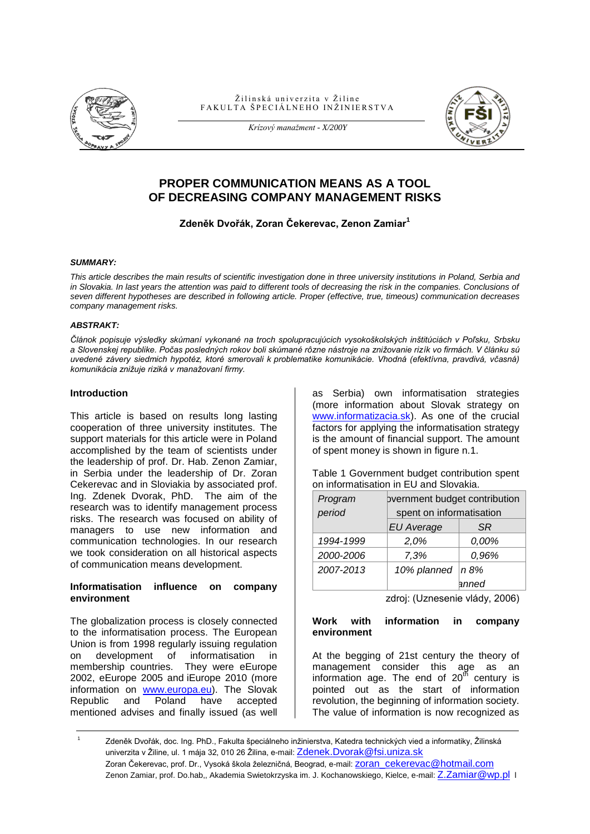

Žilinská univerzita v Žiline FAKULTA ŠPECIÁLNEHO INŽINIERSTVA



*Krízový manažment - X/200Y*

# **PROPER COMMUNICATION MEANS AS A TOOL OF DECREASING COMPANY MANAGEMENT RISKS**

## **Zdeněk Dvořák, Zoran Čekerevac, Zenon Zamiar<sup>1</sup>**

#### *SUMMARY:*

*This article describes the main results of scientific investigation done in three university institutions in Poland, Serbia and*  in Slovakia. In last years the attention was paid to different tools of decreasing the risk in the companies. Conclusions of *seven different hypotheses are described in following article. Proper (effective, true, timeous) communication decreases company management risks.*

#### *ABSTRAKT:*

*Článok popisuje výsledky skúmaní vykonané na troch spolupracujúcich vysokoškolských inštitúciách v Poľsku, Srbsku a Slovenskej republike. Počas posledných rokov boli skúmané rôzne nástroje na znižovanie rizík vo firmách. V článku sú uvedené závery siedmich hypotéz, ktoré smerovali k problematike komunikácie. Vhodná (efektívna, pravdivá, včasná) komunikácia znižuje riziká v manažovaní firmy.*

#### **Introduction**

This article is based on results long lasting cooperation of three university institutes. The support materials for this article were in Poland accomplished by the team of scientists under the leadership of prof. Dr. Hab. Zenon Zamiar, in Serbia under the leadership of Dr. Zoran Cekerevac and in Sloviakia by associated prof. Ing. Zdenek Dvorak, PhD. The aim of the research was to identify management process risks. The research was focused on ability of managers to use new information and communication technologies. In our research we took consideration on all historical aspects of communication means development.

#### **Informatisation influence on company environment**

The globalization process is closely connected to the informatisation process. The European Union is from 1998 regularly issuing regulation on development of informatisation in membership countries. They were eEurope 2002, eEurope 2005 and iEurope 2010 (more information on [www.europa.eu\)](http://www.europa.eu/). The Slovak Republic and Poland have accepted mentioned advises and finally issued (as well as Serbia) own informatisation strategies (more information about Slovak strategy on [www.informatizacia.sk\)](http://www.informatizacia.sk/). As one of the crucial factors for applying the informatisation strategy is the amount of financial support. The amount of spent money is shown in figure n.1.

Table 1 Government budget contribution spent on informatisation in EU and Slovakia.

| Program   | pvernment budget contribution |           |
|-----------|-------------------------------|-----------|
| period    | spent on informatisation      |           |
|           | <b>EU Average</b>             | <b>SR</b> |
| 1994-1999 | 2,0%                          | 0,00%     |
| 2000-2006 | 7,3%                          | 0,96%     |
| 2007-2013 | 10% planned                   | n 8%      |
|           |                               | anned     |

zdroj: (Uznesenie vlády, 2006)

#### **Work with information in company environment**

At the begging of 21st century the theory of management consider this age as an information age. The end of  $20<sup>th</sup>$  century is pointed out as the start of information revolution, the beginning of information society. The value of information is now recognized as

1 Zdeněk Dvořák, doc. Ing. PhD., Fakulta špeciálneho inžinierstva, Katedra technických vied a informatiky, Žilinská univerzita v Žiline, ul. 1 mája 32, 010 26 Žilina, e-mail: [Zdenek.Dvorak@fsi.uniza.sk](mailto:Zdenek.Dvorak@fsi.uniza.sk) Zoran Čekerevac, prof. Dr., Vysoká škola železničná, Beograd, e-mail: **ZOran\_cekerevac@hotmail.com** Zenon Zamiar, prof. Do.hab,, Akademia Swietokrzyska im. J. Kochanowskiego, Kielce, e-mail: [Z.Zamiar@wp.pl](mailto:Z.Zamiar@wp.pl) l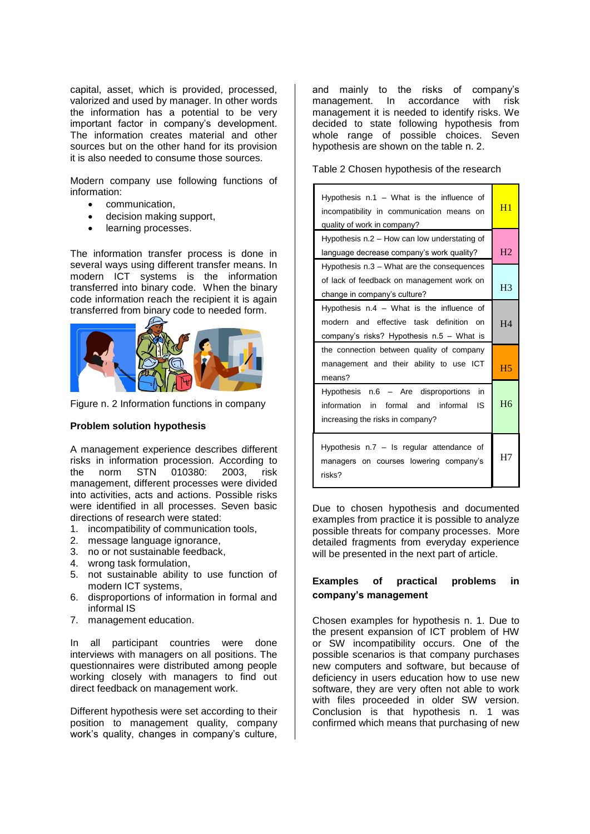capital, asset, which is provided, processed, valorized and used by manager. In other words the information has a potential to be very important factor in company's development. The information creates material and other sources but on the other hand for its provision it is also needed to consume those sources.

Modern company use following functions of information:

- communication,
- decision making support,
- learning processes.

The information transfer process is done in several ways using different transfer means. In modern ICT systems is the information transferred into binary code. When the binary code information reach the recipient it is again transferred from binary code to needed form.



Figure n. 2 Information functions in company

### **Problem solution hypothesis**

A management experience describes different risks in information procession. According to the norm STN 010380: 2003, risk management, different processes were divided into activities, acts and actions. Possible risks were identified in all processes. Seven basic directions of research were stated:

- 1. incompatibility of communication tools,
- 2. message language ignorance,
- 3. no or not sustainable feedback,
- 4. wrong task formulation,
- 5. not sustainable ability to use function of modern ICT systems,
- 6. disproportions of information in formal and informal IS
- 7. management education.

In all participant countries were done interviews with managers on all positions. The questionnaires were distributed among people working closely with managers to find out direct feedback on management work.

Different hypothesis were set according to their position to management quality, company work's quality, changes in company's culture, and mainly to the risks of company's management. In accordance with risk management it is needed to identify risks. We decided to state following hypothesis from whole range of possible choices. Seven hypothesis are shown on the table n. 2.

Table 2 Chosen hypothesis of the research

| Hypothesis $n.1 - What is the influence of$<br>incompatibility in communication means on<br>quality of work in company?             | H1             |  |
|-------------------------------------------------------------------------------------------------------------------------------------|----------------|--|
| Hypothesis n.2 – How can low understating of                                                                                        |                |  |
| language decrease company's work quality?                                                                                           |                |  |
| Hypothesis n.3 – What are the consequences                                                                                          |                |  |
| of lack of feedback on management work on                                                                                           |                |  |
| change in company's culture?                                                                                                        |                |  |
| Hypothesis $n.4 - What$ is the influence of<br>modern and effective task definition on<br>company's risks? Hypothesis n.5 - What is | H <sub>4</sub> |  |
| the connection between quality of company                                                                                           |                |  |
| management and their ability to use ICT<br>means?                                                                                   | H <sub>5</sub> |  |
| Hypothesis n.6 - Are disproportions<br>in<br>information in formal and informal<br>- IS<br>increasing the risks in company?         | <b>H6</b>      |  |
| Hypothesis $n.7 - ls$ regular attendance of<br>managers on courses lowering company's<br>risks?                                     | H7             |  |

Due to chosen hypothesis and documented examples from practice it is possible to analyze possible threats for company processes. More detailed fragments from everyday experience will be presented in the next part of article.

## **Examples of practical problems in company's management**

Chosen examples for hypothesis n. 1. Due to the present expansion of ICT problem of HW or SW incompatibility occurs. One of the possible scenarios is that company purchases new computers and software, but because of deficiency in users education how to use new software, they are very often not able to work with files proceeded in older SW version. Conclusion is that hypothesis n. 1 was confirmed which means that purchasing of new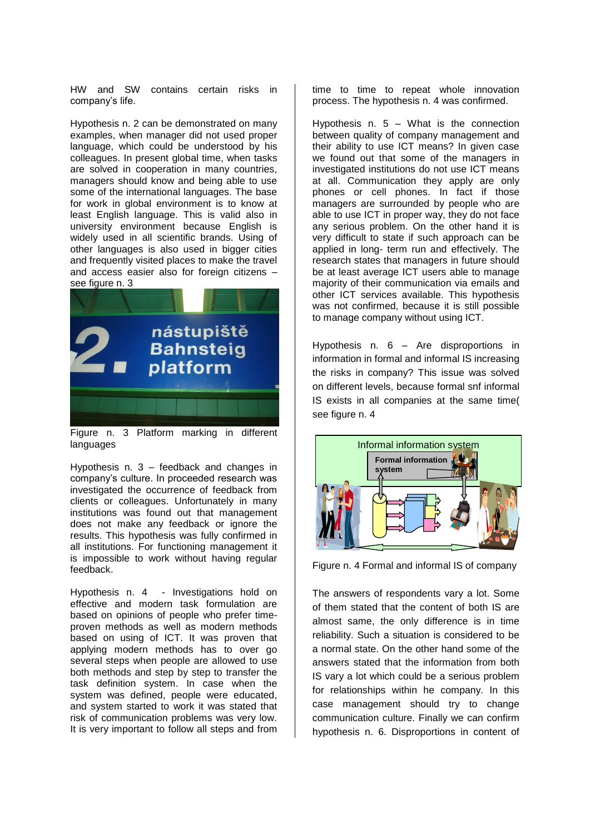HW and SW contains certain risks in company's life.

Hypothesis n. 2 can be demonstrated on many examples, when manager did not used proper language, which could be understood by his colleagues. In present global time, when tasks are solved in cooperation in many countries, managers should know and being able to use some of the international languages. The base for work in global environment is to know at least English language. This is valid also in university environment because English is widely used in all scientific brands. Using of other languages is also used in bigger cities and frequently visited places to make the travel and access easier also for foreign citizens – see figure n. 3



Figure n. 3 Platform marking in different languages

Hypothesis n. 3 – feedback and changes in company's culture. In proceeded research was investigated the occurrence of feedback from clients or colleagues. Unfortunately in many institutions was found out that management does not make any feedback or ignore the results. This hypothesis was fully confirmed in all institutions. For functioning management it is impossible to work without having regular feedback.

Hypothesis n. 4 - Investigations hold on effective and modern task formulation are based on opinions of people who prefer timeproven methods as well as modern methods based on using of ICT. It was proven that applying modern methods has to over go several steps when people are allowed to use both methods and step by step to transfer the task definition system. In case when the system was defined, people were educated, and system started to work it was stated that risk of communication problems was very low. It is very important to follow all steps and from

time to time to repeat whole innovation process. The hypothesis n. 4 was confirmed.

Hypothesis n.  $5 -$  What is the connection between quality of company management and their ability to use ICT means? In given case we found out that some of the managers in investigated institutions do not use ICT means at all. Communication they apply are only phones or cell phones. In fact if those managers are surrounded by people who are able to use ICT in proper way, they do not face any serious problem. On the other hand it is very difficult to state if such approach can be applied in long- term run and effectively. The research states that managers in future should be at least average ICT users able to manage majority of their communication via emails and other ICT services available. This hypothesis was not confirmed, because it is still possible to manage company without using ICT.

Hypothesis n. 6 – Are disproportions in information in formal and informal IS increasing the risks in company? This issue was solved on different levels, because formal snf informal IS exists in all companies at the same time( see figure n. 4



Figure n. 4 Formal and informal IS of company

The answers of respondents vary a lot. Some of them stated that the content of both IS are almost same, the only difference is in time reliability. Such a situation is considered to be a normal state. On the other hand some of the answers stated that the information from both IS vary a lot which could be a serious problem for relationships within he company. In this case management should try to change communication culture. Finally we can confirm hypothesis n. 6. Disproportions in content of